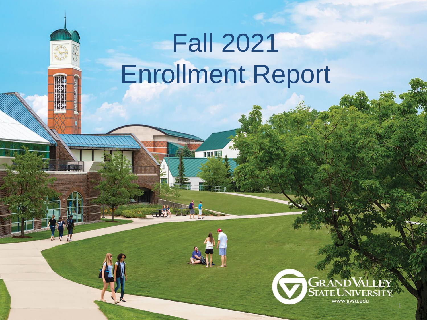# Fall 2021 Enrollment Report

**THERE!** 

A

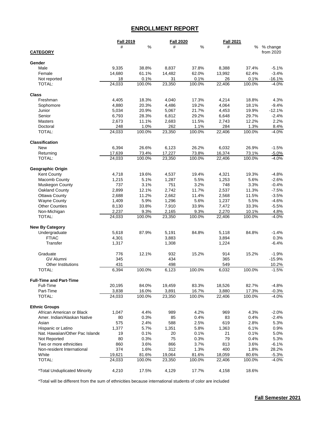## **ENROLLMENT REPORT**

|                                                       | <b>Fall 2019</b> |        | <b>Fall 2020</b> |        | <b>Fall 2021</b> |                 |                    |
|-------------------------------------------------------|------------------|--------|------------------|--------|------------------|-----------------|--------------------|
|                                                       | #                | $\%$   | #                | $\%$   | #                | %               | % change           |
| <b>CATEGORY</b>                                       |                  |        |                  |        |                  |                 | from 2020          |
|                                                       |                  |        |                  |        |                  |                 |                    |
| Gender                                                |                  |        |                  |        |                  |                 |                    |
| Male                                                  | 9,335            | 38.8%  | 8,837            | 37.8%  | 8,388            | 37.4%           | $-5.1%$            |
| Female                                                | 14,680           | 61.1%  | 14,482           | 62.0%  | 13,992           | 62.4%           | $-3.4%$            |
| Not reported                                          | 18               | 0.1%   | 31               | 0.1%   | 26               | 0.1%            | $-16.1%$           |
| TOTAL:                                                | 24,033           | 100.0% | 23,350           | 100.0% | 22,406           | 100.0%          | $-4.0%$            |
| <b>Class</b>                                          |                  |        |                  |        |                  |                 |                    |
| Freshman                                              | 4,405            | 18.3%  | 4,040            | 17.3%  | 4,214            | 18.8%           | 4.3%               |
| Sophomore                                             | 4,880            | 20.3%  | 4,486            | 19.2%  | 4,064            | 18.1%           | $-9.4%$            |
| Junior                                                | 5,034            | 20.9%  | 5,067            | 21.7%  | 4,453            | 19.9%           | $-12.1%$           |
| Senior                                                | 6,793            | 28.3%  | 6,812            | 29.2%  | 6,648            | 29.7%           | $-2.4%$            |
| Masters                                               | 2,673            | 11.1%  | 2,683            | 11.5%  | 2,743            | 12.2%           | 2.2%               |
| Doctoral                                              | 248              | 1.0%   | 262              | 1.1%   | 284              | 1.3%            | 8.4%               |
| TOTAL:                                                | 24,033           | 100.0% | 23,350           | 100.0% | 22,406           | 100.0%          | $-4.0%$            |
|                                                       |                  |        |                  |        |                  |                 |                    |
| <b>Classification</b>                                 |                  |        |                  |        |                  |                 |                    |
| <b>New</b>                                            | 6,394            | 26.6%  | 6,123            | 26.2%  | 6,032            | 26.9%           | $-1.5%$            |
| Returning                                             | 17,639           | 73.4%  | 17,227           | 73.8%  | 16,374           | 73.1%           | $-5.0%$            |
| TOTAL:                                                | 24,033           | 100.0% | 23,350           | 100.0% | 22,406           | 100.0%          | $-4.0%$            |
|                                                       |                  |        |                  |        |                  |                 |                    |
| Geographic Origin                                     |                  |        |                  |        |                  |                 |                    |
| Kent County                                           | 4,718            | 19.6%  | 4,537            | 19.4%  | 4,321            | 19.3%           | $-4.8%$            |
| Macomb County                                         | 1,215            | 5.1%   | 1,287            | 5.5%   | 1,253            | 5.6%            | $-2.6%$            |
| Muskegon County                                       | 737              | 3.1%   | 751              | 3.2%   | 748              | 3.3%            | $-0.4%$            |
| Oakland County                                        | 2,899            | 12.1%  | 2,742            | 11.7%  | 2,537            | 11.3%           | $-7.5%$            |
| <b>Ottawa County</b>                                  | 2,688            | 11.2%  | 2,662            | 11.4%  | 2,568            | 11.5%           | $-3.5%$            |
| <b>Wayne County</b>                                   | 1,409            | 5.9%   | 1,296            | 5.6%   | 1,237            | 5.5%            | $-4.6%$            |
| <b>Other Counties</b>                                 | 8,130            | 33.8%  | 7,910            | 33.9%  | 7,472            | 33.3%           | $-5.5%$            |
| Non-Michigan                                          | 2,237            | 9.3%   | 2,165            | 9.3%   | 2,270            | 10.1%           | 4.8%               |
| TOTAL:                                                | 24,033           | 100.0% | 23,350           | 100.0% | 22,406           | 100.0%          | $-4.0\%$           |
| <b>New By Category</b>                                |                  |        |                  |        |                  |                 |                    |
| Undergraduate                                         | 5,618            | 87.9%  | 5,191            | 84.8%  | 5,118            | 84.8%           | $-1.4%$            |
| <b>FTIAC</b>                                          | 4,301            |        | 3,883            |        | 3,894            |                 | 0.3%               |
| Transfer                                              | 1,317            |        | 1,308            |        | 1,224            |                 | $-6.4%$            |
|                                                       |                  |        |                  |        |                  |                 |                    |
| Graduate                                              | 776              | 12.1%  | 932              | 15.2%  | 914              | 15.2%           | $-1.9%$            |
| <b>GV Alumni</b>                                      | 345              |        | 434              |        | 365              |                 | $-15.9%$           |
| Other Institutions                                    | 431              |        | 498              |        | 549              |                 | 10.2%              |
| TOTAL:                                                | 6,394            | 100.0% | 6,123            | 100.0% | 6,032            | 100.0%          | $-1.5%$            |
|                                                       |                  |        |                  |        |                  |                 |                    |
| <b>Full-Time and Part-Time</b>                        |                  |        |                  |        |                  |                 |                    |
| Full-Time                                             | 20,195           | 84.0%  | 19,459           | 83.3%  | 18,526           | 82.7%           | $-4.8%$            |
| Part-Time                                             | 3,838            | 16.0%  | 3,891            | 16.7%  | 3,880            | 17.3%           | $-0.3%$            |
| TOTAL:                                                | 24,033           | 100.0% | 23,350           | 100.0% | 22,406           | 100.0%          | $-4.0%$            |
|                                                       |                  |        |                  |        |                  |                 |                    |
| <b>Ethnic Groups</b><br>African American or Black     | 1,047            | 4.4%   | 989              | 4.2%   | 969              | 4.3%            | $-2.0%$            |
| Amer. Indian/Alaskan Native                           | 80               | 0.3%   | 85               | 0.4%   | 83               | 0.4%            | $-2.4%$            |
| Asian                                                 | 575              | 2.4%   | 588              | 2.5%   | 619              | 2.8%            | 5.3%               |
|                                                       | 1,377            | 5.7%   |                  | 5.8%   |                  | 6.1%            |                    |
| Hispanic or Latino<br>Nat. Hawaiian/Other Pac Islande | 19               | 0.1%   | 1,351<br>20      | 0.1%   | 1,363<br>21      | 0.1%            | 0.9%<br>5.0%       |
| Not Reported                                          | 80               | 0.3%   | 75               | 0.3%   | 79               | 0.4%            | 5.3%               |
| Two or more ethnicities                               | 860              | 3.6%   | 866              | 3.7%   | 813              | 3.6%            | $-6.1%$            |
| Non-resident International                            | 374              | 1.6%   | 312              | 1.3%   | 400              | 1.8%            | 28.2%              |
| White                                                 | 19,621           | 81.6%  |                  | 81.6%  |                  |                 |                    |
| TOTAL:                                                | 24,033           | 100.0% | 19,064<br>23,350 | 100.0% | 18,059<br>22,406 | 80.6%<br>100.0% | $-5.3%$<br>$-4.0%$ |
|                                                       |                  |        |                  |        |                  |                 |                    |
| <i>*Total Unduplicated Minority</i>                   | 4,210            | 17.5%  | 4,129            | 17.7%  | 4,158            | 18.6%           |                    |
|                                                       |                  |        |                  |        |                  |                 |                    |

\*Total will be different from the sum of ethnicities because international students of color are included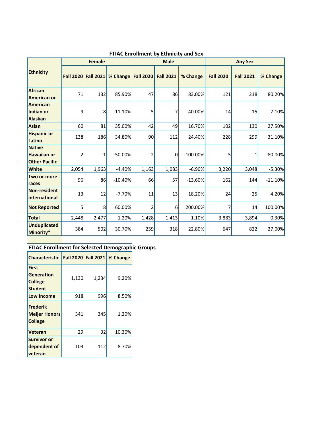|                                                             |                  | <b>Female</b>    |           |                  | <b>Male</b>      |             | <b>Any Sex</b>   |                  |           |  |
|-------------------------------------------------------------|------------------|------------------|-----------|------------------|------------------|-------------|------------------|------------------|-----------|--|
| <b>Ethnicity</b>                                            | <b>Fall 2020</b> | <b>Fall 2021</b> | % Change  | <b>Fall 2020</b> | <b>Fall 2021</b> | % Change    | <b>Fall 2020</b> | <b>Fall 2021</b> | % Change  |  |
| <b>African</b><br><b>American or</b>                        | 71               | 132              | 85.90%    | 47               | 86               | 83.00%      | 121              | 218              | 80.20%    |  |
| <b>American</b><br>Indian or<br><b>Alaskan</b>              | 9                | 8                | $-11.10%$ | 5                | 7                | 40.00%      | 14               | 15               | 7.10%     |  |
| <b>Asian</b>                                                | 60               | 81               | 35.00%    | 42               | 49               | 16.70%      | 102              | 130              | 27.50%    |  |
| <b>Hispanic or</b><br>Latino                                | 138              | 186              | 34.80%    | 90               | 112              | 24.40%      | 228              | 299              | 31.10%    |  |
| <b>Native</b><br><b>Hawaiian or</b><br><b>Other Pacific</b> | 2                | 1                | $-50.00%$ | 2                | $\mathbf 0$      | $-100.00\%$ | 5                | 1                | $-80.00%$ |  |
| <b>White</b>                                                | 2,054            | 1,963            | $-4.40%$  | 1,163            | 1,083            | $-6.90%$    | 3,220            | 3,048            | $-5.30%$  |  |
| Two or more<br>races                                        | 96               | 86               | $-10.40%$ | 66               | 57               | $-13.60%$   | 162              | 144              | $-11.10%$ |  |
| <b>Non-resident</b><br>international                        | 13               | 12               | $-7.70%$  | 11               | 13               | 18.20%      | 24               | 25               | 4.20%     |  |
| <b>Not Reported</b>                                         | 5                | 8                | 60.00%    | 2                | $6 \mid$         | 200.00%     |                  | 14               | 100.00%   |  |
| <b>Total</b>                                                | 2,448            | 2,477            | 1.20%     | 1,428            | 1,413            | $-1.10%$    | 3,883            | 3,894            | 0.30%     |  |
| <b>Unduplicated</b><br>Minority*                            | 384              | 502              | 30.70%    | 259              | 318              | 22.80%      | 647              | 822              | 27.00%    |  |

#### **FTIAC Enrollment by Ethnicity and Sex**

#### **FTIAC Enrollment for Selected Demographic Groups**

| <b>Characteristic</b>                                                 |       |       | Fall 2020 Fall 2021   % Change |
|-----------------------------------------------------------------------|-------|-------|--------------------------------|
| <b>First</b><br><b>Generation</b><br><b>College</b><br><b>Student</b> | 1,130 | 1,234 | 9.20%                          |
| <b>Low Income</b>                                                     | 918   | 996   | 8.50%                          |
| <b>Frederik</b><br><b>Meijer Honors</b><br><b>College</b>             | 341   | 345   | 1.20%                          |
| <b>Veteran</b>                                                        | 29    | 32    | 10.30%                         |
| <b>Survivor or</b><br>dependent of<br>veteran                         | 103   | 112   | 8.70%                          |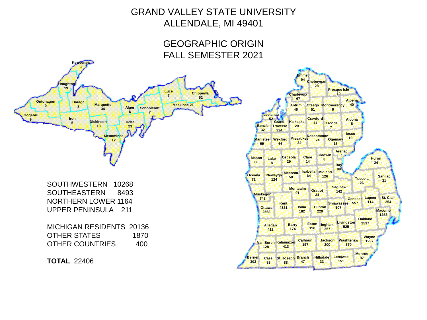## GRAND VALLEY STATE UNIVERSITY ALLENDALE, MI 49401

### GEOGRAPHIC ORIGIN FALL SEMESTER 2021



SOUTHWESTERN 10268 SOUTHEASTERN 8493 NORTHERN LOWER 1164 UPPER PENINSULA 211

MICHIGAN RESIDENTS 20136 OTHER STATES 1870 OTHER COUNTRIES 400

**TOTAL** 22406

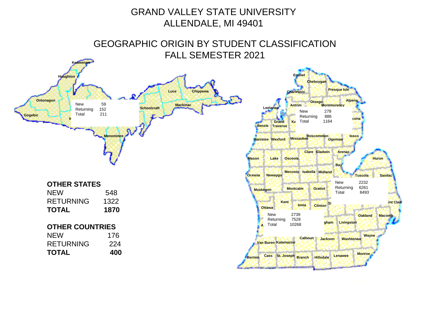## GRAND VALLEY STATE UNIVERSITY ALLENDALE, MI 49401

GEOGRAPHIC ORIGIN BY STUDENT CLASSIFICATION FALL SEMESTER 2021

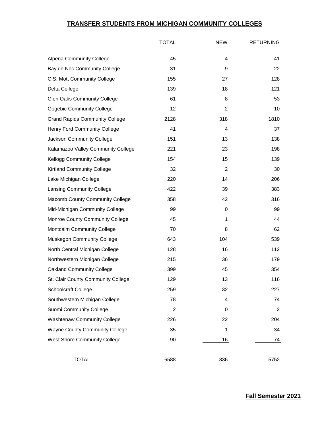#### **TRANSFER STUDENTS FROM MICHIGAN COMMUNITY COLLEGES**

|                                        | <b>TOTAL</b> | <b>NEW</b>     | <b>RETURNING</b> |
|----------------------------------------|--------------|----------------|------------------|
| <b>Alpena Community College</b>        | 45           | 4              | 41               |
| Bay de Noc Community College           | 31           | 9              | 22               |
| C.S. Mott Community College            | 155          | 27             | 128              |
| Delta College                          | 139          | 18             | 121              |
| <b>Glen Oaks Community College</b>     | 61           | 8              | 53               |
| <b>Gogebic Community College</b>       | 12           | $\overline{2}$ | 10               |
| <b>Grand Rapids Community College</b>  | 2128         | 318            | 1810             |
| <b>Henry Ford Community College</b>    | 41           | 4              | 37               |
| Jackson Community College              | 151          | 13             | 138              |
| Kalamazoo Valley Community College     | 221          | 23             | 198              |
| <b>Kellogg Community College</b>       | 154          | 15             | 139              |
| <b>Kirtland Community College</b>      | 32           | $\overline{2}$ | 30               |
| Lake Michigan College                  | 220          | 14             | 206              |
| <b>Lansing Community College</b>       | 422          | 39             | 383              |
| <b>Macomb County Community College</b> | 358          | 42             | 316              |
| Mid-Michigan Community College         | 99           | 0              | 99               |
| <b>Monroe County Community College</b> | 45           | 1              | 44               |
| Montcalm Community College             | 70           | 8              | 62               |
| <b>Muskegon Community College</b>      | 643          | 104            | 539              |
| North Central Michigan College         | 128          | 16             | 112              |
| Northwestern Michigan College          | 215          | 36             | 179              |
| <b>Oakland Community College</b>       | 399          | 45             | 354              |
| St. Clair County Community College     | 129          | 13             | 116              |
| <b>Schoolcraft College</b>             | 259          | 32             | 227              |
| Southwestern Michigan College          | 78           | 4              | 74               |
| Suomi Community College                | 2            | 0              | 2                |
| <b>Washtenaw Community College</b>     | 226          | 22             | 204              |
| <b>Wayne County Community College</b>  | 35           | 1              | 34               |
| <b>West Shore Community College</b>    | 90           | 16             | 74               |
| <b>TOTAL</b>                           | 6588         | 836            | 5752             |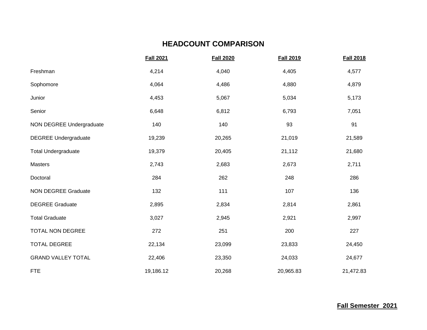#### **HEADCOUNT COMPARISON**

|                             | <b>Fall 2021</b> | <b>Fall 2020</b> | <b>Fall 2019</b> | <b>Fall 2018</b> |
|-----------------------------|------------------|------------------|------------------|------------------|
| Freshman                    | 4,214            | 4,040            | 4,405            | 4,577            |
| Sophomore                   | 4,064            | 4,486            | 4,880            | 4,879            |
| Junior                      | 4,453            | 5,067            | 5,034            | 5,173            |
| Senior                      | 6,648            | 6,812            | 6,793            | 7,051            |
| NON DEGREE Undergraduate    | 140              | 140              | 93               | 91               |
| <b>DEGREE Undergraduate</b> | 19,239           | 20,265           | 21,019           | 21,589           |
| <b>Total Undergraduate</b>  | 19,379           | 20,405           | 21,112           | 21,680           |
| Masters                     | 2,743            | 2,683            | 2,673            | 2,711            |
| Doctoral                    | 284              | 262              | 248              | 286              |
| <b>NON DEGREE Graduate</b>  | 132              | 111              | 107              | 136              |
| <b>DEGREE Graduate</b>      | 2,895            | 2,834            | 2,814            | 2,861            |
| <b>Total Graduate</b>       | 3,027            | 2,945            | 2,921            | 2,997            |
| <b>TOTAL NON DEGREE</b>     | 272              | 251              | 200              | 227              |
| <b>TOTAL DEGREE</b>         | 22,134           | 23,099           | 23,833           | 24,450           |
| <b>GRAND VALLEY TOTAL</b>   | 22,406           | 23,350           | 24,033           | 24,677           |
| <b>FTE</b>                  | 19,186.12        | 20,268           | 20,965.83        | 21,472.83        |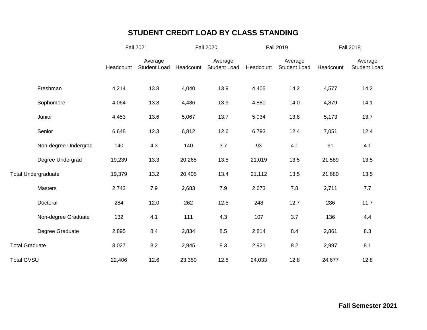#### **STUDENT CREDIT LOAD BY CLASS STANDING**

|                       |                            |           | <b>Fall 2021</b>               |           | <b>Fall 2020</b>               |           | <b>Fall 2019</b>        | Fall 2018 |                                |  |
|-----------------------|----------------------------|-----------|--------------------------------|-----------|--------------------------------|-----------|-------------------------|-----------|--------------------------------|--|
|                       |                            | Headcount | Average<br><b>Student Load</b> | Headcount | Average<br><b>Student Load</b> | Headcount | Average<br>Student Load | Headcount | Average<br><b>Student Load</b> |  |
|                       | Freshman                   | 4,214     | 13.8                           | 4,040     | 13.9                           | 4,405     | 14.2                    | 4,577     | 14.2                           |  |
|                       | Sophomore                  | 4,064     | 13.8                           | 4,486     | 13.9                           | 4,880     | 14.0                    | 4,879     | 14.1                           |  |
|                       | Junior                     | 4,453     | 13.6                           | 5,067     | 13.7                           | 5,034     | 13.8                    | 5,173     | 13.7                           |  |
|                       | Senior                     | 6,648     | 12.3                           | 6,812     | 12.6                           | 6,793     | 12.4                    | 7,051     | 12.4                           |  |
|                       | Non-degree Undergrad       | 140       | 4.3                            | 140       | 3.7                            | 93        | 4.1                     | 91        | 4.1                            |  |
|                       | Degree Undergrad           | 19,239    | 13.3                           | 20,265    | 13.5                           | 21,019    | 13.5                    | 21,589    | 13.5                           |  |
|                       | <b>Total Undergraduate</b> | 19,379    | 13.2                           | 20,405    | 13.4                           | 21,112    | 13.5                    | 21,680    | 13.5                           |  |
|                       | Masters                    | 2,743     | 7.9                            | 2,683     | 7.9                            | 2,673     | 7.8                     | 2,711     | 7.7                            |  |
|                       | Doctoral                   | 284       | 12.0                           | 262       | 12.5                           | 248       | 12.7                    | 286       | 11.7                           |  |
|                       | Non-degree Graduate        | 132       | 4.1                            | 111       | 4.3                            | 107       | 3.7                     | 136       | 4.4                            |  |
|                       | Degree Graduate            | 2,895     | 8.4                            | 2,834     | 8.5                            | 2,814     | 8.4                     | 2,861     | 8.3                            |  |
| <b>Total Graduate</b> |                            | 3,027     | $8.2\,$                        | 2,945     | 8.3                            | 2,921     | 8.2                     | 2,997     | 8.1                            |  |
| <b>Total GVSU</b>     |                            | 22,406    | 12.6                           | 23,350    | 12.8                           | 24,033    | 12.8                    | 24,677    | 12.8                           |  |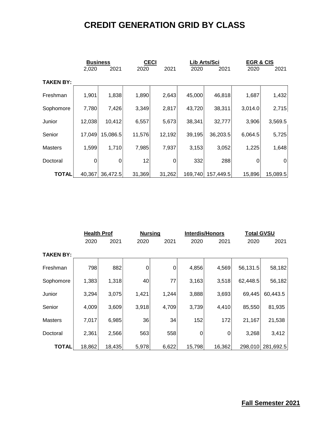## **CREDIT GENERATION GRID BY CLASS**

|                  | <b>Business</b> |                 | <b>CECI</b>     |        |        | Lib Arts/Sci      | <b>EGR &amp; CIS</b> |                |  |
|------------------|-----------------|-----------------|-----------------|--------|--------|-------------------|----------------------|----------------|--|
|                  | 2,020           | 2021            | 2020            | 2021   | 2020   | 2021              | 2020                 | 2021           |  |
| <b>TAKEN BY:</b> |                 |                 |                 |        |        |                   |                      |                |  |
| Freshman         | 1,901           | 1,838           | 1,890           | 2,643  | 45,000 | 46,818            | 1,687                | 1,432          |  |
| Sophomore        | 7,780           | 7,426           | 3,349           | 2,817  | 43,720 | 38,311            | 3,014.0              | 2,715          |  |
| Junior           | 12,038          | 10,412          | 6,557           | 5,673  | 38,341 | 32,777            | 3,906                | 3,569.5        |  |
| Senior           |                 | 17,049 15,086.5 | 11,576          | 12,192 | 39,195 | 36,203.5          | 6,064.5              | 5,725          |  |
| <b>Masters</b>   | 1,599           | 1,710           | 7,985           | 7,937  | 3,153  | 3,052             | 1,225                | 1,648          |  |
| Doctoral         | 0.              | $\overline{0}$  | 12 <sup>1</sup> | 0      | 332    | 288               | $\overline{0}$       | $\overline{0}$ |  |
| <b>TOTAL</b>     |                 | 40,367 36,472.5 | 31,369          | 31,262 |        | 169,740 157,449.5 | 15,896               | 15,089.5       |  |

|                  | <b>Health Prof</b> |        | <b>Nursing</b> |                 |                | <b>Interdis/Honors</b> |          | <b>Total GVSU</b> |  |  |
|------------------|--------------------|--------|----------------|-----------------|----------------|------------------------|----------|-------------------|--|--|
|                  | 2020               | 2021   | 2020           | 2021            | 2020           | 2021                   | 2020     | 2021              |  |  |
| <b>TAKEN BY:</b> |                    |        |                |                 |                |                        |          |                   |  |  |
| Freshman         | 798                | 882    | 0              | 0               | 4,856          | 4,569                  | 56,131.5 | 58,182            |  |  |
| Sophomore        | 1,383              | 1,318  | 40             | 77              | 3,163          | 3,518                  | 62,448.5 | 56,182            |  |  |
| Junior           | 3,294              | 3,075  | 1,421          | 1,244           | 3,888          | 3,693                  |          | 69,445 60,443.5   |  |  |
| Senior           | 4,009              | 3,609  | 3,918          | 4,709           | 3,739          | 4,410                  | 85,550   | 81,935            |  |  |
| <b>Masters</b>   | 7,017              | 6,985  | 36             | 34 <sup>1</sup> | 152            | 172                    | 21,167   | 21,538            |  |  |
| Doctoral         | 2,361              | 2,566  | 563            | 558             | $\overline{0}$ | 0.                     | 3,268    | 3,412             |  |  |
| <b>TOTAL</b>     | 18,862             | 18,435 | 5,978          | 6,622           | 15,798         | 16,362                 |          | 298,010 281,692.5 |  |  |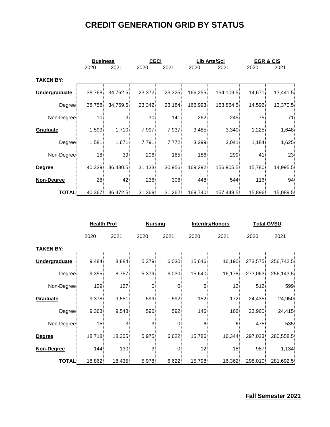## **CREDIT GENERATION GRID BY STATUS**

|                  | <b>Business</b> |                | <b>CECI</b>     |        |         | Lib Arts/Sci | <b>EGR &amp; CIS</b> |          |  |
|------------------|-----------------|----------------|-----------------|--------|---------|--------------|----------------------|----------|--|
|                  | 2020            | 2021           | 2020            | 2021   | 2020    | 2021         | 2020                 | 2021     |  |
| <b>TAKEN BY:</b> |                 |                |                 |        |         |              |                      |          |  |
| Undergraduate    | 38,768          | 34,762.5       | 23,372          | 23,325 | 166,255 | 154,109.5    | 14,671               | 13,441.5 |  |
| Degree           | 38,758          | 34,759.5       | 23,342          | 23,184 | 165,993 | 153,864.5    | 14,596               | 13,370.5 |  |
| Non-Degree       | 10 <sup>1</sup> | 3 <sup>1</sup> | 30 <sup>1</sup> | 141    | 262     | 245          | 75                   | 71       |  |
| Graduate         | 1,599           | 1,710          | 7,997           | 7,937  | 3,485   | 3,340        | 1,225                | 1,648    |  |
| Degree           | 1,581           | 1,671          | 7,791           | 7,772  | 3,299   | 3,041        | 1,184                | 1,625    |  |
| Non-Degree       | 18 <sup>1</sup> | 39             | 206             | 165    | 186     | 299          | 41.                  | 23       |  |
| <b>Degree</b>    | 40,339          | 36,430.5       | 31,133          | 30,956 | 169,292 | 156,905.5    | 15,780               | 14,995.5 |  |
| Non-Degree       | 28              | 42             | 236             | 306    | 448     | 544          | 116                  | 94       |  |
| <b>TOTAL</b>     | 40,367          | 36,472.5       | 31,369          | 31,262 | 169,740 | 157,449.5    | 15,896               | 15,089.5 |  |

|                      | <b>Health Prof</b> |                |                | <b>Nursing</b> |                 | <b>Interdis/Honors</b> | <b>Total GVSU</b> |           |  |
|----------------------|--------------------|----------------|----------------|----------------|-----------------|------------------------|-------------------|-----------|--|
|                      | 2020<br>2021       |                | 2020           | 2021           | 2020            | 2021                   |                   | 2021      |  |
| <b>TAKEN BY:</b>     |                    |                |                |                |                 |                        |                   |           |  |
| <b>Undergraduate</b> | 9,484              | 8,884          | 5,379          | 6,030          | 15,646          | 16,190                 | 273,575           | 256,742.5 |  |
| Degree               | 9,355              | 8,757          | 5,379          | 6,030          | 15,640          | 16,178                 | 273,063           | 256,143.5 |  |
| Non-Degree           | 129                | 127            | 0 <sub>1</sub> | $\overline{0}$ | 6 <sup>1</sup>  | 12 <sub>1</sub>        | 512               | 599       |  |
| Graduate             | 9,378              | 9,551          | 599            | 592            | 152             | 172                    | 24,435            | 24,950    |  |
| Degree               | 9,363              | 9,548          | 596            | 592            | 146             | 166                    | 23,960            | 24,415    |  |
| Non-Degree           | 15 <sub>1</sub>    | 3 <sub>1</sub> | 3 <sup>1</sup> | $\overline{0}$ | 6 <sup>1</sup>  | 6                      | 475               | 535       |  |
| <b>Degree</b>        | 18,718             | 18,305         | 5,975          | 6,622          | 15,786          | 16,344                 | 297,023           | 280,558.5 |  |
| Non-Degree           | 144                | 130            | 3 <sup>1</sup> | $\overline{0}$ | 12 <sub>1</sub> | 18 <sub>1</sub>        | 987               | 1,134     |  |
| <b>TOTAL</b>         | 18,862             | 18,435         | 5,978          | 6,622          | 15,798          | 16,362                 | 298,010           | 281,692.5 |  |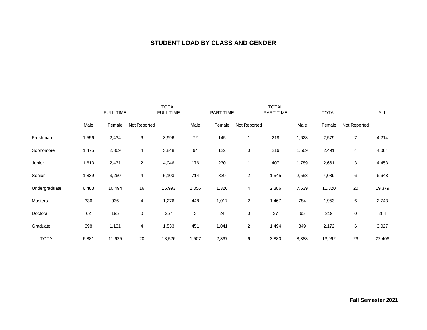#### **STUDENT LOAD BY CLASS AND GENDER**

|               |       | <b>FULL TIME</b> |                | <b>TOTAL</b><br><b>FULL TIME</b> |            | <b>PART TIME</b> |                | <b>TOTAL</b><br><b>PART TIME</b> |       | <b>TOTAL</b> |                | ALL    |
|---------------|-------|------------------|----------------|----------------------------------|------------|------------------|----------------|----------------------------------|-------|--------------|----------------|--------|
|               | Male  | Female           | Not Reported   |                                  | Male       | Female           | Not Reported   |                                  | Male  | Female       | Not Reported   |        |
| Freshman      | 1,556 | 2,434            | 6              | 3,996                            | $72\,$     | 145              | 1              | 218                              | 1,628 | 2,579        | $\overline{7}$ | 4,214  |
| Sophomore     | 1,475 | 2,369            | 4              | 3,848                            | 94         | 122              | $\pmb{0}$      | 216                              | 1,569 | 2,491        | 4              | 4,064  |
| Junior        | 1,613 | 2,431            | $\overline{c}$ | 4,046                            | 176        | 230              | 1              | 407                              | 1,789 | 2,661        | 3              | 4,453  |
| Senior        | 1,839 | 3,260            | 4              | 5,103                            | 714        | 829              | $\overline{c}$ | 1,545                            | 2,553 | 4,089        | 6              | 6,648  |
| Undergraduate | 6,483 | 10,494           | 16             | 16,993                           | 1,056      | 1,326            | $\overline{4}$ | 2,386                            | 7,539 | 11,820       | 20             | 19,379 |
| Masters       | 336   | 936              | 4              | 1,276                            | 448        | 1,017            | $\overline{2}$ | 1,467                            | 784   | 1,953        | $\,6$          | 2,743  |
| Doctoral      | 62    | 195              | 0              | 257                              | $\sqrt{3}$ | 24               | $\pmb{0}$      | 27                               | 65    | 219          | $\pmb{0}$      | 284    |
| Graduate      | 398   | 1,131            | 4              | 1,533                            | 451        | 1,041            | $\overline{2}$ | 1,494                            | 849   | 2,172        | $\,6\,$        | 3,027  |
| <b>TOTAL</b>  | 6,881 | 11,625           | 20             | 18,526                           | 1,507      | 2,367            | 6              | 3,880                            | 8,388 | 13,992       | 26             | 22,406 |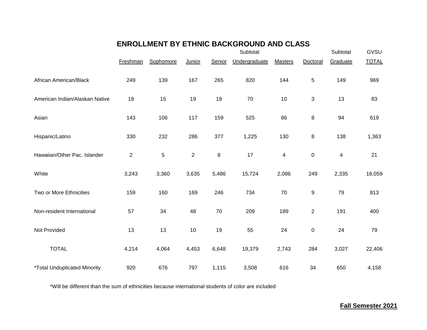### **ENROLLMENT BY ETHNIC BACKGROUND AND CLASS**

|                                            |              |             |                |        | Subtotal      |                |                | Subtotal                | GVSU         |
|--------------------------------------------|--------------|-------------|----------------|--------|---------------|----------------|----------------|-------------------------|--------------|
|                                            | Freshman     | Sophomore   | Junior         | Senior | Undergraduate | <b>Masters</b> | Doctoral       | Graduate                | <b>TOTAL</b> |
| African American/Black                     | 249          | 139         | 167            | 265    | 820           | 144            | 5              | 149                     | 969          |
| American Indian/Alaskan Native             | 18           | 15          | 19             | 18     | 70            | 10             | 3              | 13                      | 83           |
| Asian                                      | 143          | 106         | 117            | 159    | 525           | 86             | 8              | 94                      | 619          |
| Hispanic/Latino                            | 330          | 232         | 286            | 377    | 1,225         | 130            | 8              | 138                     | 1,363        |
| Hawaiian/Other Pac. Islander               | $\mathbf{2}$ | $\mathbf 5$ | $\overline{2}$ | 8      | 17            | 4              | $\pmb{0}$      | $\overline{\mathbf{4}}$ | 21           |
| White                                      | 3,243        | 3,360       | 3,635          | 5,486  | 15,724        | 2,086          | 249            | 2,335                   | 18,059       |
| Two or More Ethnicities                    | 159          | 160         | 169            | 246    | 734           | 70             | 9              | 79                      | 813          |
| Non-resident International                 | 57           | 34          | 48             | 70     | 209           | 189            | $\overline{2}$ | 191                     | 400          |
| Not Provided                               | 13           | 13          | 10             | 19     | 55            | 24             | $\pmb{0}$      | 24                      | 79           |
| <b>TOTAL</b>                               | 4,214        | 4,064       | 4,453          | 6,648  | 19,379        | 2,743          | 284            | 3,027                   | 22,406       |
| <i><b>*Total Unduplicated Minority</b></i> | 920          | 676         | 797            | 1,115  | 3,508         | 616            | 34             | 650                     | 4,158        |

\*Will be different than the sum of ethnicities because international students of color are included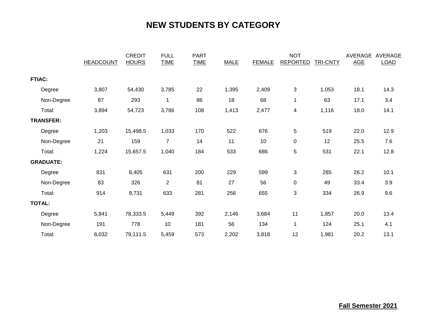## **NEW STUDENTS BY CATEGORY**

|                  | <b>HEADCOUNT</b> | <b>CREDIT</b><br><b>HOURS</b> | <b>FULL</b><br><b>TIME</b> | <b>PART</b><br><b>TIME</b> | <b>MALE</b> | <b>FEMALE</b> | <b>NOT</b><br><b>REPORTED</b> | <b>TRI-CNTY</b> | AVERAGE<br><b>AGE</b> | AVERAGE<br><b>LOAD</b> |
|------------------|------------------|-------------------------------|----------------------------|----------------------------|-------------|---------------|-------------------------------|-----------------|-----------------------|------------------------|
| <b>FTIAC:</b>    |                  |                               |                            |                            |             |               |                               |                 |                       |                        |
| Degree           | 3,807            | 54,430                        | 3,785                      | 22                         | 1,395       | 2,409         | $\mathfrak{S}$                | 1,053           | 18.1                  | 14.3                   |
| Non-Degree       | 87               | 293                           | 1                          | 86                         | 18          | 68            | $\mathbf{1}$                  | 63              | 17.1                  | 3.4                    |
| Total:           | 3,894            | 54,723                        | 3,786                      | 108                        | 1,413       | 2,477         | $\overline{\mathbf{4}}$       | 1,116           | 18.0                  | 14.1                   |
| <b>TRANSFER:</b> |                  |                               |                            |                            |             |               |                               |                 |                       |                        |
| Degree           | 1,203            | 15,498.5                      | 1,033                      | 170                        | 522         | 676           | $\mathbf 5$                   | 519             | 22.0                  | 12.9                   |
| Non-Degree       | 21               | 159                           | $\overline{7}$             | 14                         | 11          | 10            | $\mathbf 0$                   | 12              | 25.5                  | 7.6                    |
| Total:           | 1,224            | 15,657.5                      | 1,040                      | 184                        | 533         | 686           | $\sqrt{5}$                    | 531             | 22.1                  | 12.8                   |
| <b>GRADUATE:</b> |                  |                               |                            |                            |             |               |                               |                 |                       |                        |
| Degree           | 831              | 8,405                         | 631                        | 200                        | 229         | 599           | $\mathfrak{S}$                | 285             | 26.2                  | 10.1                   |
| Non-Degree       | 83               | 326                           | $\overline{2}$             | 81                         | 27          | 56            | $\pmb{0}$                     | 49              | 33.4                  | 3.9                    |
| Total:           | 914              | 8,731                         | 633                        | 281                        | 256         | 655           | $\sqrt{3}$                    | 334             | 26.9                  | 9.6                    |
| <b>TOTAL:</b>    |                  |                               |                            |                            |             |               |                               |                 |                       |                        |
| Degree           | 5,841            | 78,333.5                      | 5,449                      | 392                        | 2,146       | 3,684         | 11                            | 1,857           | 20.0                  | 13.4                   |
| Non-Degree       | 191              | 778                           | 10                         | 181                        | 56          | 134           | $\mathbf{1}$                  | 124             | 25.1                  | 4.1                    |
| Total:           | 6,032            | 79,111.5                      | 5,459                      | 573                        | 2,202       | 3,818         | 12                            | 1,981           | 20.2                  | 13.1                   |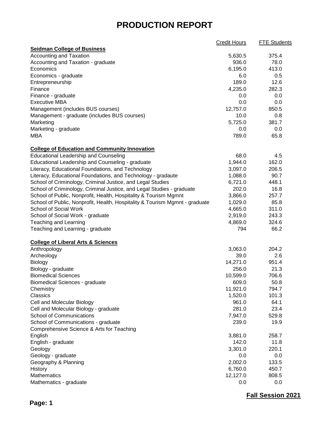## **PRODUCTION REPORT**

|                                                                                                      | Credit Hours | <b>FTE Students</b> |
|------------------------------------------------------------------------------------------------------|--------------|---------------------|
| <b>Seidman College of Business</b>                                                                   |              |                     |
| <b>Accounting and Taxation</b>                                                                       | 5,630.5      | 375.4               |
| Accounting and Taxation - graduate                                                                   | 936.0        | 78.0                |
| Economics                                                                                            | 6,195.0      | 413.0               |
| Economics - graduate                                                                                 | 6.0          | 0.5                 |
| Entrepreneurship                                                                                     | 189.0        | 12.6                |
| Finance                                                                                              | 4,235.0      | 282.3               |
| Finance - graduate                                                                                   | 0.0          | 0.0                 |
| <b>Executive MBA</b>                                                                                 | 0.0          | 0.0                 |
| Management (includes BUS courses)                                                                    | 12,757.0     | 850.5               |
| Management - graduate (includes BUS courses)                                                         | 10.0         | 0.8                 |
| Marketing                                                                                            | 5,725.0      | 381.7               |
| Marketing - graduate                                                                                 | $0.0\,$      | 0.0                 |
| <b>MBA</b>                                                                                           | 789.0        | 65.8                |
|                                                                                                      |              |                     |
| <b>College of Education and Community Innovation</b>                                                 |              |                     |
| <b>Educational Leadership and Counseling</b>                                                         | 68.0         | 4.5                 |
| Educational Leadership and Counseling - graduate                                                     | 1,944.0      | 162.0               |
| Literacy, Educational Foundations, and Technology                                                    | 3,097.0      | 206.5               |
| Literacy, Educational Foundations, and Technology - gradaute                                         | 1,088.0      | 90.7                |
| School of Criminology, Criminal Justice, and Legal Studies                                           | 6,721.0      | 448.1               |
| School of Criminology, Criminal Justice, and Legal Studies - graduate                                | 202.0        | 16.8                |
|                                                                                                      | 3,866.0      | 257.7               |
| School of Public, Nonprofit, Health, Hospitality & Tourism Mgmnt                                     |              | 85.8                |
| School of Public, Nonprofit, Health, Hospitality & Tourism Mgmnt - graduate<br>School of Social Work | 1,029.0      |                     |
|                                                                                                      | 4,665.0      | 311.0               |
| School of Social Work - graduate                                                                     | 2,919.0      | 243.3               |
| <b>Teaching and Learning</b>                                                                         | 4,869.0      | 324.6               |
| Teaching and Learning - graduate                                                                     | 794          | 66.2                |
| <b>College of Liberal Arts &amp; Sciences</b>                                                        |              |                     |
| Anthropology                                                                                         | 3,063.0      | 204.2               |
| Archeology                                                                                           | 39.0         | 2.6                 |
| Biology                                                                                              | 14,271.0     | 951.4               |
| Biology - graduate                                                                                   | 256.0        | 21.3                |
| <b>Biomedical Sciences</b>                                                                           | 10,599.0     | 706.6               |
| <b>Biomedical Sciences - graduate</b>                                                                | 609.0        | 50.8                |
| Chemistry                                                                                            | 11,921.0     | 794.7               |
| Classics                                                                                             | 1,520.0      | 101.3               |
| Cell and Molecular Biology                                                                           | 961.0        | 64.1                |
| Cell and Molecular Biology - graduate                                                                | 281.0        | 23.4                |
| <b>School of Communications</b>                                                                      | 7,947.0      | 529.8               |
| School of Communications - graduate                                                                  |              | 19.9                |
|                                                                                                      | 239.0        |                     |
| Comprehensive Science & Arts for Teaching                                                            |              |                     |
| English                                                                                              | 3,881.0      | 258.7               |
| English - graduate                                                                                   | 142.0        | 11.8                |
| Geology                                                                                              | 3,301.0      | 220.1               |
| Geology - graduate                                                                                   | 0.0          | 0.0                 |
| Geography & Planning                                                                                 | 2,002.0      | 133.5               |
| History                                                                                              | 6,760.0      | 450.7               |
| Mathematics                                                                                          | 12,127.0     | 808.5               |
| Mathematics - graduate                                                                               | 0.0          | 0.0                 |

**Fall Session 2021**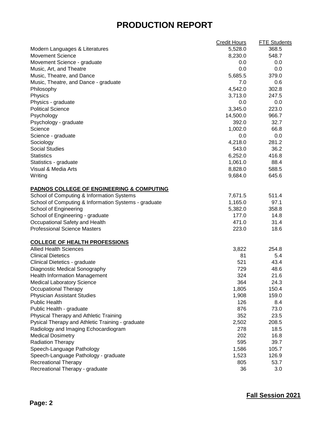## **PRODUCTION REPORT**

| 5,528.0<br>368.5<br>548.7<br>8,230.0<br>Movement Science - graduate<br>$0.0\,$<br>0.0<br>0.0<br>0.0<br>5,685.5<br>379.0<br>7.0<br>0.6<br>Music, Theatre, and Dance - graduate<br>4,542.0<br>302.8<br>Philosophy<br>Physics<br>3,713.0<br>247.5<br>Physics - graduate<br>0.0<br>$0.0\,$<br><b>Political Science</b><br>3,345.0<br>223.0<br>Psychology<br>14,500.0<br>966.7<br>Psychology - graduate<br>392.0<br>32.7<br>Science<br>1,002.0<br>66.8<br>0.0<br>0.0<br>Science - graduate<br>4,218.0<br>281.2<br>Sociology<br>543.0<br>36.2<br><b>Social Studies</b><br>416.8<br>6,252.0<br><b>Statistics</b><br>88.4<br>1,061.0<br>Statistics - graduate<br>8,828.0<br>588.5<br>9,684.0<br>645.6<br>School of Computing & Information Systems<br>7,671.5<br>511.4<br>School of Computing & Information Systems - graduate<br>1,165.0<br>97.1<br>School of Engineering<br>5,382.0<br>358.8<br>School of Engineering - graduate<br>177.0<br>14.8<br>Occupational Safety and Health<br>471.0<br>31.4<br><b>Professional Science Masters</b><br>18.6<br>223.0<br>3,822<br>254.8<br>81<br>5.4<br><b>Clinical Dietetics</b><br>521<br>43.4<br>Diagnostic Medical Sonography<br>729<br>48.6<br>324<br>21.6<br><b>Health Information Management</b><br>364<br>24.3<br><b>Medical Laboratory Science</b><br>1,805<br>150.4<br><b>Physician Assistant Studies</b><br>1,908<br>159.0<br>8.4<br><b>Public Health</b><br>126<br>876<br>73.0<br>Public Health - graduate<br>352<br>23.5<br>Physical Therapy and Athletic Training<br>Pysical Therapy and Athletic Training - graduate<br>2,502<br>208.5<br>278<br>18.5<br>Radiology and Imaging Echocardiogram<br>202<br>16.8<br><b>Medical Dosimetry</b><br>595<br><b>Radiation Therapy</b><br>39.7<br>Speech-Language Pathology<br>1,586<br>105.7<br>126.9<br>Speech-Language Pathology - graduate<br>1,523<br><b>Recreational Therapy</b><br>805<br>53.7<br>Recreational Therapy - graduate<br>36<br>3.0 |                                                      | <b>Credit Hours</b> | <b>FTE Students</b> |
|--------------------------------------------------------------------------------------------------------------------------------------------------------------------------------------------------------------------------------------------------------------------------------------------------------------------------------------------------------------------------------------------------------------------------------------------------------------------------------------------------------------------------------------------------------------------------------------------------------------------------------------------------------------------------------------------------------------------------------------------------------------------------------------------------------------------------------------------------------------------------------------------------------------------------------------------------------------------------------------------------------------------------------------------------------------------------------------------------------------------------------------------------------------------------------------------------------------------------------------------------------------------------------------------------------------------------------------------------------------------------------------------------------------------------------------------------------------------------------------------------------------------------------------------------------------------------------------------------------------------------------------------------------------------------------------------------------------------------------------------------------------------------------------------------------------------------------------------------------------------------------------------------------------------------------------------|------------------------------------------------------|---------------------|---------------------|
|                                                                                                                                                                                                                                                                                                                                                                                                                                                                                                                                                                                                                                                                                                                                                                                                                                                                                                                                                                                                                                                                                                                                                                                                                                                                                                                                                                                                                                                                                                                                                                                                                                                                                                                                                                                                                                                                                                                                            | Modern Languages & Literatures                       |                     |                     |
|                                                                                                                                                                                                                                                                                                                                                                                                                                                                                                                                                                                                                                                                                                                                                                                                                                                                                                                                                                                                                                                                                                                                                                                                                                                                                                                                                                                                                                                                                                                                                                                                                                                                                                                                                                                                                                                                                                                                            | <b>Movement Science</b>                              |                     |                     |
|                                                                                                                                                                                                                                                                                                                                                                                                                                                                                                                                                                                                                                                                                                                                                                                                                                                                                                                                                                                                                                                                                                                                                                                                                                                                                                                                                                                                                                                                                                                                                                                                                                                                                                                                                                                                                                                                                                                                            |                                                      |                     |                     |
|                                                                                                                                                                                                                                                                                                                                                                                                                                                                                                                                                                                                                                                                                                                                                                                                                                                                                                                                                                                                                                                                                                                                                                                                                                                                                                                                                                                                                                                                                                                                                                                                                                                                                                                                                                                                                                                                                                                                            | Music, Art, and Theatre                              |                     |                     |
|                                                                                                                                                                                                                                                                                                                                                                                                                                                                                                                                                                                                                                                                                                                                                                                                                                                                                                                                                                                                                                                                                                                                                                                                                                                                                                                                                                                                                                                                                                                                                                                                                                                                                                                                                                                                                                                                                                                                            | Music, Theatre, and Dance                            |                     |                     |
|                                                                                                                                                                                                                                                                                                                                                                                                                                                                                                                                                                                                                                                                                                                                                                                                                                                                                                                                                                                                                                                                                                                                                                                                                                                                                                                                                                                                                                                                                                                                                                                                                                                                                                                                                                                                                                                                                                                                            |                                                      |                     |                     |
|                                                                                                                                                                                                                                                                                                                                                                                                                                                                                                                                                                                                                                                                                                                                                                                                                                                                                                                                                                                                                                                                                                                                                                                                                                                                                                                                                                                                                                                                                                                                                                                                                                                                                                                                                                                                                                                                                                                                            |                                                      |                     |                     |
|                                                                                                                                                                                                                                                                                                                                                                                                                                                                                                                                                                                                                                                                                                                                                                                                                                                                                                                                                                                                                                                                                                                                                                                                                                                                                                                                                                                                                                                                                                                                                                                                                                                                                                                                                                                                                                                                                                                                            |                                                      |                     |                     |
|                                                                                                                                                                                                                                                                                                                                                                                                                                                                                                                                                                                                                                                                                                                                                                                                                                                                                                                                                                                                                                                                                                                                                                                                                                                                                                                                                                                                                                                                                                                                                                                                                                                                                                                                                                                                                                                                                                                                            |                                                      |                     |                     |
|                                                                                                                                                                                                                                                                                                                                                                                                                                                                                                                                                                                                                                                                                                                                                                                                                                                                                                                                                                                                                                                                                                                                                                                                                                                                                                                                                                                                                                                                                                                                                                                                                                                                                                                                                                                                                                                                                                                                            |                                                      |                     |                     |
|                                                                                                                                                                                                                                                                                                                                                                                                                                                                                                                                                                                                                                                                                                                                                                                                                                                                                                                                                                                                                                                                                                                                                                                                                                                                                                                                                                                                                                                                                                                                                                                                                                                                                                                                                                                                                                                                                                                                            |                                                      |                     |                     |
|                                                                                                                                                                                                                                                                                                                                                                                                                                                                                                                                                                                                                                                                                                                                                                                                                                                                                                                                                                                                                                                                                                                                                                                                                                                                                                                                                                                                                                                                                                                                                                                                                                                                                                                                                                                                                                                                                                                                            |                                                      |                     |                     |
|                                                                                                                                                                                                                                                                                                                                                                                                                                                                                                                                                                                                                                                                                                                                                                                                                                                                                                                                                                                                                                                                                                                                                                                                                                                                                                                                                                                                                                                                                                                                                                                                                                                                                                                                                                                                                                                                                                                                            |                                                      |                     |                     |
|                                                                                                                                                                                                                                                                                                                                                                                                                                                                                                                                                                                                                                                                                                                                                                                                                                                                                                                                                                                                                                                                                                                                                                                                                                                                                                                                                                                                                                                                                                                                                                                                                                                                                                                                                                                                                                                                                                                                            |                                                      |                     |                     |
|                                                                                                                                                                                                                                                                                                                                                                                                                                                                                                                                                                                                                                                                                                                                                                                                                                                                                                                                                                                                                                                                                                                                                                                                                                                                                                                                                                                                                                                                                                                                                                                                                                                                                                                                                                                                                                                                                                                                            |                                                      |                     |                     |
|                                                                                                                                                                                                                                                                                                                                                                                                                                                                                                                                                                                                                                                                                                                                                                                                                                                                                                                                                                                                                                                                                                                                                                                                                                                                                                                                                                                                                                                                                                                                                                                                                                                                                                                                                                                                                                                                                                                                            |                                                      |                     |                     |
|                                                                                                                                                                                                                                                                                                                                                                                                                                                                                                                                                                                                                                                                                                                                                                                                                                                                                                                                                                                                                                                                                                                                                                                                                                                                                                                                                                                                                                                                                                                                                                                                                                                                                                                                                                                                                                                                                                                                            |                                                      |                     |                     |
|                                                                                                                                                                                                                                                                                                                                                                                                                                                                                                                                                                                                                                                                                                                                                                                                                                                                                                                                                                                                                                                                                                                                                                                                                                                                                                                                                                                                                                                                                                                                                                                                                                                                                                                                                                                                                                                                                                                                            |                                                      |                     |                     |
|                                                                                                                                                                                                                                                                                                                                                                                                                                                                                                                                                                                                                                                                                                                                                                                                                                                                                                                                                                                                                                                                                                                                                                                                                                                                                                                                                                                                                                                                                                                                                                                                                                                                                                                                                                                                                                                                                                                                            | Visual & Media Arts                                  |                     |                     |
|                                                                                                                                                                                                                                                                                                                                                                                                                                                                                                                                                                                                                                                                                                                                                                                                                                                                                                                                                                                                                                                                                                                                                                                                                                                                                                                                                                                                                                                                                                                                                                                                                                                                                                                                                                                                                                                                                                                                            | Writing                                              |                     |                     |
|                                                                                                                                                                                                                                                                                                                                                                                                                                                                                                                                                                                                                                                                                                                                                                                                                                                                                                                                                                                                                                                                                                                                                                                                                                                                                                                                                                                                                                                                                                                                                                                                                                                                                                                                                                                                                                                                                                                                            | <b>PADNOS COLLEGE OF ENGINEERING &amp; COMPUTING</b> |                     |                     |
|                                                                                                                                                                                                                                                                                                                                                                                                                                                                                                                                                                                                                                                                                                                                                                                                                                                                                                                                                                                                                                                                                                                                                                                                                                                                                                                                                                                                                                                                                                                                                                                                                                                                                                                                                                                                                                                                                                                                            |                                                      |                     |                     |
|                                                                                                                                                                                                                                                                                                                                                                                                                                                                                                                                                                                                                                                                                                                                                                                                                                                                                                                                                                                                                                                                                                                                                                                                                                                                                                                                                                                                                                                                                                                                                                                                                                                                                                                                                                                                                                                                                                                                            |                                                      |                     |                     |
|                                                                                                                                                                                                                                                                                                                                                                                                                                                                                                                                                                                                                                                                                                                                                                                                                                                                                                                                                                                                                                                                                                                                                                                                                                                                                                                                                                                                                                                                                                                                                                                                                                                                                                                                                                                                                                                                                                                                            |                                                      |                     |                     |
|                                                                                                                                                                                                                                                                                                                                                                                                                                                                                                                                                                                                                                                                                                                                                                                                                                                                                                                                                                                                                                                                                                                                                                                                                                                                                                                                                                                                                                                                                                                                                                                                                                                                                                                                                                                                                                                                                                                                            |                                                      |                     |                     |
|                                                                                                                                                                                                                                                                                                                                                                                                                                                                                                                                                                                                                                                                                                                                                                                                                                                                                                                                                                                                                                                                                                                                                                                                                                                                                                                                                                                                                                                                                                                                                                                                                                                                                                                                                                                                                                                                                                                                            |                                                      |                     |                     |
|                                                                                                                                                                                                                                                                                                                                                                                                                                                                                                                                                                                                                                                                                                                                                                                                                                                                                                                                                                                                                                                                                                                                                                                                                                                                                                                                                                                                                                                                                                                                                                                                                                                                                                                                                                                                                                                                                                                                            |                                                      |                     |                     |
|                                                                                                                                                                                                                                                                                                                                                                                                                                                                                                                                                                                                                                                                                                                                                                                                                                                                                                                                                                                                                                                                                                                                                                                                                                                                                                                                                                                                                                                                                                                                                                                                                                                                                                                                                                                                                                                                                                                                            | <b>COLLEGE OF HEALTH PROFESSIONS</b>                 |                     |                     |
|                                                                                                                                                                                                                                                                                                                                                                                                                                                                                                                                                                                                                                                                                                                                                                                                                                                                                                                                                                                                                                                                                                                                                                                                                                                                                                                                                                                                                                                                                                                                                                                                                                                                                                                                                                                                                                                                                                                                            | <b>Allied Health Sciences</b>                        |                     |                     |
|                                                                                                                                                                                                                                                                                                                                                                                                                                                                                                                                                                                                                                                                                                                                                                                                                                                                                                                                                                                                                                                                                                                                                                                                                                                                                                                                                                                                                                                                                                                                                                                                                                                                                                                                                                                                                                                                                                                                            |                                                      |                     |                     |
|                                                                                                                                                                                                                                                                                                                                                                                                                                                                                                                                                                                                                                                                                                                                                                                                                                                                                                                                                                                                                                                                                                                                                                                                                                                                                                                                                                                                                                                                                                                                                                                                                                                                                                                                                                                                                                                                                                                                            | Clinical Dietetics - graduate                        |                     |                     |
|                                                                                                                                                                                                                                                                                                                                                                                                                                                                                                                                                                                                                                                                                                                                                                                                                                                                                                                                                                                                                                                                                                                                                                                                                                                                                                                                                                                                                                                                                                                                                                                                                                                                                                                                                                                                                                                                                                                                            |                                                      |                     |                     |
|                                                                                                                                                                                                                                                                                                                                                                                                                                                                                                                                                                                                                                                                                                                                                                                                                                                                                                                                                                                                                                                                                                                                                                                                                                                                                                                                                                                                                                                                                                                                                                                                                                                                                                                                                                                                                                                                                                                                            |                                                      |                     |                     |
|                                                                                                                                                                                                                                                                                                                                                                                                                                                                                                                                                                                                                                                                                                                                                                                                                                                                                                                                                                                                                                                                                                                                                                                                                                                                                                                                                                                                                                                                                                                                                                                                                                                                                                                                                                                                                                                                                                                                            |                                                      |                     |                     |
|                                                                                                                                                                                                                                                                                                                                                                                                                                                                                                                                                                                                                                                                                                                                                                                                                                                                                                                                                                                                                                                                                                                                                                                                                                                                                                                                                                                                                                                                                                                                                                                                                                                                                                                                                                                                                                                                                                                                            | <b>Occupational Therapy</b>                          |                     |                     |
|                                                                                                                                                                                                                                                                                                                                                                                                                                                                                                                                                                                                                                                                                                                                                                                                                                                                                                                                                                                                                                                                                                                                                                                                                                                                                                                                                                                                                                                                                                                                                                                                                                                                                                                                                                                                                                                                                                                                            |                                                      |                     |                     |
|                                                                                                                                                                                                                                                                                                                                                                                                                                                                                                                                                                                                                                                                                                                                                                                                                                                                                                                                                                                                                                                                                                                                                                                                                                                                                                                                                                                                                                                                                                                                                                                                                                                                                                                                                                                                                                                                                                                                            |                                                      |                     |                     |
|                                                                                                                                                                                                                                                                                                                                                                                                                                                                                                                                                                                                                                                                                                                                                                                                                                                                                                                                                                                                                                                                                                                                                                                                                                                                                                                                                                                                                                                                                                                                                                                                                                                                                                                                                                                                                                                                                                                                            |                                                      |                     |                     |
|                                                                                                                                                                                                                                                                                                                                                                                                                                                                                                                                                                                                                                                                                                                                                                                                                                                                                                                                                                                                                                                                                                                                                                                                                                                                                                                                                                                                                                                                                                                                                                                                                                                                                                                                                                                                                                                                                                                                            |                                                      |                     |                     |
|                                                                                                                                                                                                                                                                                                                                                                                                                                                                                                                                                                                                                                                                                                                                                                                                                                                                                                                                                                                                                                                                                                                                                                                                                                                                                                                                                                                                                                                                                                                                                                                                                                                                                                                                                                                                                                                                                                                                            |                                                      |                     |                     |
|                                                                                                                                                                                                                                                                                                                                                                                                                                                                                                                                                                                                                                                                                                                                                                                                                                                                                                                                                                                                                                                                                                                                                                                                                                                                                                                                                                                                                                                                                                                                                                                                                                                                                                                                                                                                                                                                                                                                            |                                                      |                     |                     |
|                                                                                                                                                                                                                                                                                                                                                                                                                                                                                                                                                                                                                                                                                                                                                                                                                                                                                                                                                                                                                                                                                                                                                                                                                                                                                                                                                                                                                                                                                                                                                                                                                                                                                                                                                                                                                                                                                                                                            |                                                      |                     |                     |
|                                                                                                                                                                                                                                                                                                                                                                                                                                                                                                                                                                                                                                                                                                                                                                                                                                                                                                                                                                                                                                                                                                                                                                                                                                                                                                                                                                                                                                                                                                                                                                                                                                                                                                                                                                                                                                                                                                                                            |                                                      |                     |                     |
|                                                                                                                                                                                                                                                                                                                                                                                                                                                                                                                                                                                                                                                                                                                                                                                                                                                                                                                                                                                                                                                                                                                                                                                                                                                                                                                                                                                                                                                                                                                                                                                                                                                                                                                                                                                                                                                                                                                                            |                                                      |                     |                     |
|                                                                                                                                                                                                                                                                                                                                                                                                                                                                                                                                                                                                                                                                                                                                                                                                                                                                                                                                                                                                                                                                                                                                                                                                                                                                                                                                                                                                                                                                                                                                                                                                                                                                                                                                                                                                                                                                                                                                            |                                                      |                     |                     |
|                                                                                                                                                                                                                                                                                                                                                                                                                                                                                                                                                                                                                                                                                                                                                                                                                                                                                                                                                                                                                                                                                                                                                                                                                                                                                                                                                                                                                                                                                                                                                                                                                                                                                                                                                                                                                                                                                                                                            |                                                      |                     |                     |
|                                                                                                                                                                                                                                                                                                                                                                                                                                                                                                                                                                                                                                                                                                                                                                                                                                                                                                                                                                                                                                                                                                                                                                                                                                                                                                                                                                                                                                                                                                                                                                                                                                                                                                                                                                                                                                                                                                                                            |                                                      |                     |                     |